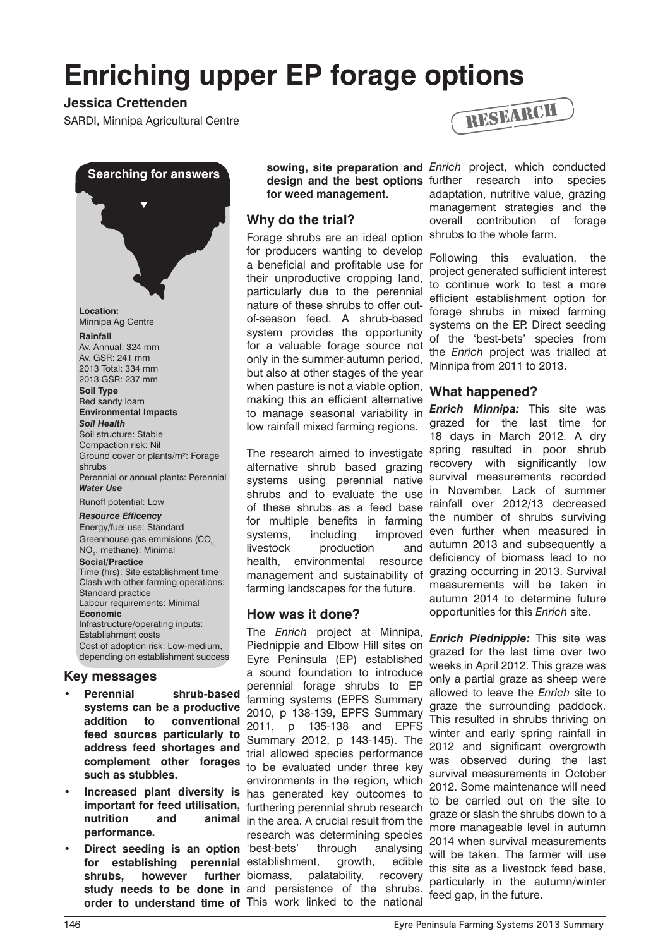# **Enriching upper EP forage options**

# **Jessica Crettenden**



## **Key messages**

- **Perennial shrub-based systems can be a productive addition to conventional feed sources particularly to address feed shortages and complement other forages such as stubbles.**
- **performance.**
- **•** Direct seeding is an option 'best-bets' through analysing shrubs, however further biomass, **order to understand time of**  This work linked to the national

**for weed management.**

## **Why do the trial?**

Forage shrubs are an ideal option for producers wanting to develop a beneficial and profitable use for their unproductive cropping land, particularly due to the perennial nature of these shrubs to offer outof-season feed. A shrub-based system provides the opportunity for a valuable forage source not only in the summer-autumn period, but also at other stages of the year when pasture is not a viable option, making this an efficient alternative to manage seasonal variability in low rainfall mixed farming regions.

The research aimed to investigate alternative shrub based grazing systems using perennial native shrubs and to evaluate the use of these shrubs as a feed base for multiple benefits in farming systems, including improved livestock production and health, environmental resource management and sustainability of grazing occurring in 2013. Survival farming landscapes for the future.

## **How was it done?**

**• Increased plant diversity is**  has generated key outcomes to **important for feed utilisation,**  furthering perennial shrub research **nutrition and animal**  in the area. A crucial result from the for establishing perennial establishment, growth, edible **study needs to be done in**  and persistence of the shrubs. The *Enrich* project at Minnipa, Piednippie and Elbow Hill sites on Eyre Peninsula (EP) established a sound foundation to introduce perennial forage shrubs to EP farming systems (EPFS Summary 2010, p 138-139, EPFS Summary 2011, p 135-138 and EPFS Summary 2012, p 143-145). The trial allowed species performance to be evaluated under three key environments in the region, which research was determining species palatability, recovery



**sowing, site preparation and**  *Enrich* project, which conducted design and the best options further research into species adaptation, nutritive value, grazing management strategies and the overall contribution of forage shrubs to the whole farm.

> Following this evaluation, the project generated sufficient interest to continue work to test a more efficient establishment option for forage shrubs in mixed farming systems on the EP. Direct seeding of the 'best-bets' species from the *Enrich* project was trialled at Minnipa from 2011 to 2013.

## **What happened?**

*Enrich Minnipa:* This site was grazed for the last time for 18 days in March 2012. A dry spring resulted in poor shrub recovery with significantly low survival measurements recorded in November. Lack of summer rainfall over 2012/13 decreased the number of shrubs surviving even further when measured in autumn 2013 and subsequently a deficiency of biomass lead to no measurements will be taken in autumn 2014 to determine future opportunities for this *Enrich* site.

*Enrich Piednippie:* This site was grazed for the last time over two weeks in April 2012. This graze was only a partial graze as sheep were allowed to leave the *Enrich* site to graze the surrounding paddock. This resulted in shrubs thriving on winter and early spring rainfall in 2012 and significant overgrowth was observed during the last survival measurements in October 2012. Some maintenance will need to be carried out on the site to graze or slash the shrubs down to a more manageable level in autumn 2014 when survival measurements will be taken. The farmer will use this site as a livestock feed base, particularly in the autumn/winter feed gap, in the future.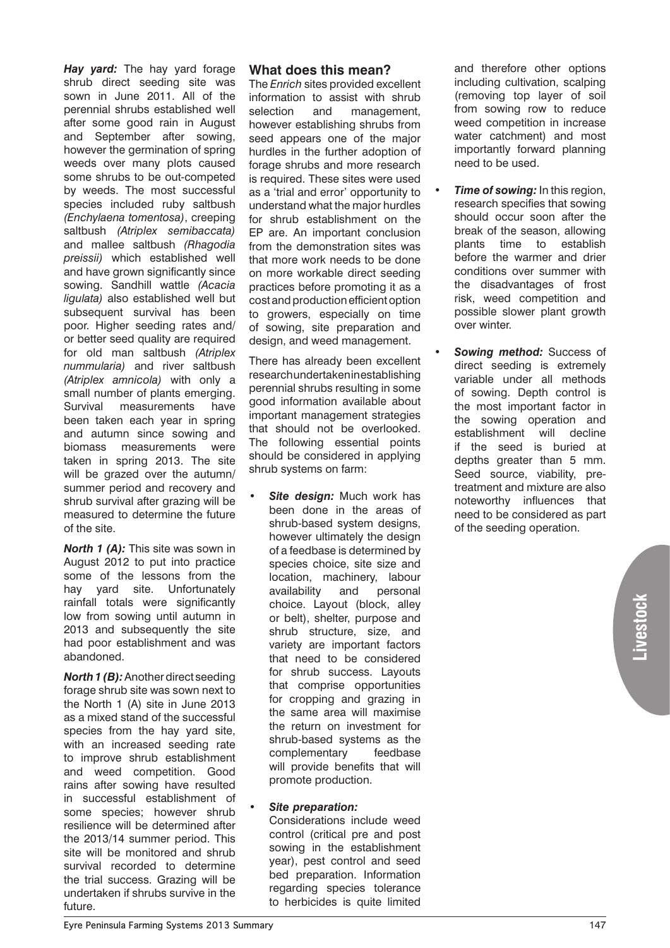*Hay yard:* The hay yard forage shrub direct seeding site was sown in June 2011. All of the perennial shrubs established well after some good rain in August and September after sowing, however the germination of spring weeds over many plots caused some shrubs to be out-competed by weeds. The most successful species included ruby saltbush *(Enchylaena tomentosa)*, creeping saltbush *(Atriplex semibaccata)*  and mallee saltbush *(Rhagodia preissii)* which established well and have grown significantly since sowing. Sandhill wattle *(Acacia ligulata)* also established well but subsequent survival has been poor. Higher seeding rates and/ or better seed quality are required for old man saltbush *(Atriplex nummularia)* and river saltbush *(Atriplex amnicola)* with only a small number of plants emerging. Survival measurements have been taken each year in spring and autumn since sowing and biomass measurements were taken in spring 2013. The site will be grazed over the autumn/ summer period and recovery and shrub survival after grazing will be measured to determine the future of the site.

*North 1 (A):* This site was sown in August 2012 to put into practice some of the lessons from the hay yard site. Unfortunately rainfall totals were significantly low from sowing until autumn in 2013 and subsequently the site had poor establishment and was abandoned.

*North 1 (B):* Another direct seeding forage shrub site was sown next to the North 1 (A) site in June 2013 as a mixed stand of the successful species from the hay yard site, with an increased seeding rate to improve shrub establishment and weed competition. Good rains after sowing have resulted in successful establishment of some species; however shrub resilience will be determined after the 2013/14 summer period. This site will be monitored and shrub survival recorded to determine the trial success. Grazing will be undertaken if shrubs survive in the future.

#### **What does this mean?**

The *Enrich* sites provided excellent information to assist with shrub selection and management. however establishing shrubs from seed appears one of the major hurdles in the further adoption of forage shrubs and more research is required. These sites were used as a 'trial and error' opportunity to understand what the major hurdles for shrub establishment on the EP are. An important conclusion from the demonstration sites was that more work needs to be done on more workable direct seeding practices before promoting it as a cost and production efficient option to growers, especially on time of sowing, site preparation and design, and weed management.

There has already been excellent research undertaken in establishing perennial shrubs resulting in some good information available about important management strategies that should not be overlooked. The following essential points should be considered in applying shrub systems on farm:

**Site design:** Much work has been done in the areas of shrub-based system designs, however ultimately the design of a feedbase is determined by species choice, site size and location, machinery, labour availability and personal choice. Layout (block, alley or belt), shelter, purpose and shrub structure, size, and variety are important factors that need to be considered for shrub success. Layouts that comprise opportunities for cropping and grazing in the same area will maximise the return on investment for shrub-based systems as the complementary feedbase will provide benefits that will promote production.

#### *Site preparation:*

Considerations include weed control (critical pre and post sowing in the establishment year), pest control and seed bed preparation. Information regarding species tolerance to herbicides is quite limited

and therefore other options including cultivation, scalping (removing top layer of soil from sowing row to reduce weed competition in increase water catchment) and most importantly forward planning need to be used.

- *Time of sowing:* In this region, research specifies that sowing should occur soon after the break of the season, allowing plants time to establish before the warmer and drier conditions over summer with the disadvantages of frost risk, weed competition and possible slower plant growth over winter.
- **Sowing method:** Success of direct seeding is extremely variable under all methods of sowing. Depth control is the most important factor in the sowing operation and establishment will decline if the seed is buried at depths greater than 5 mm. Seed source, viability, pretreatment and mixture are also noteworthy influences that need to be considered as part of the seeding operation.